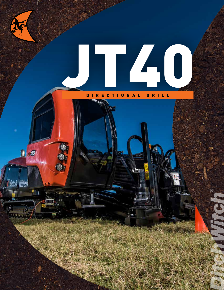

 $J\bar{a}$ D

ïCl

## DIRECTIONAL DRILL RECTIONAL

 $\tau_{eff}$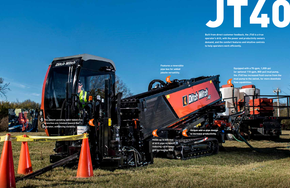**Built from direct customer feedback, the JT40 is a true operator's drill, with the power and productivity owners demand, and the comfort features and intuitive controls to help operators work efficiently.** 

**The patent-pending open-sided vise wrenches are rotated toward the operator, enhancing visibility.**

Something of the Massive At his Lin

**Ditch Wife** 

**Holds up to 600 feet of drill pipe on board, reducing cycle times and increasing ROI.**

5 3 4

**Features a reversible pipe box for added jobsite versatility.**

> Unique add-a-pipe design to increase productivity.

**Equipped with a 70-gpm, 1,000-psi (or optional 110-gpm, 800-psi) mud pump, the JT40 has increased fluid course from the mud pump to the swivel, for more downhole flow capabilities.**

JT40

2

1

**PANTIAN /PINARA** 

3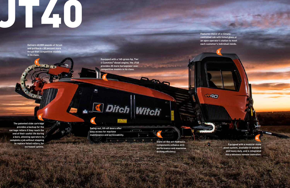**Equipped with a 160-gross-hp, Tier 4 Cummins® diesel engine, the JT40 provides 20 more horsepower over competitive models in its class.**

**6 Ditch Witch** 



**Swing-out, lift-off doors offer easy access for machine maintenance and serviceability.**

**The patented slide cartridge provides a backup for the carriage rollers if they reach the end of their useful life during a bore, allowing operators to complete a job without stopping to replace failed rollers, for increased uptime.**

**Delivers 40,000 pounds of thrust and pullback—30 percent more thrust than competitive models in its class.**

> **State-of-the-art-hydraulic components enhance drill performance and maximize drilling efficiency.**

**Features choice of a climatecontrolled cab with tinted glass or an open operator's station to meet each customer's individual needs.**

# JT40

1

2

3

**JT40** 

4

5

7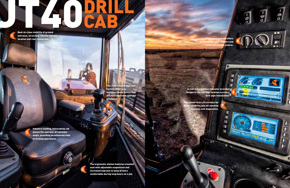Fully enclosed cab offers premium operator comfort and complete climate control.

 $\bullet$ 

W M M

Industry-leading, telescoping cab places the operator at a precise angle, providing an enhanced view of drilling operations.

> The ergonomic station features a heated seat with adjustable suspension and increased legroom to keep drillers comfortable during long hours on a job.

Best-in-class visibility of ground entrance, wrenches, shuttle-retract location and rear connection. DRILL CAB

> The JT40's Radial Operator Control (ROC) is a multifunctional device that delivers improved operator efficiency.

> > Two seven-inch LCD screens for better visibility into all machine functions and diagnostics.

drill pipe installation. 6

CAB

5

 $-80$ 

 $\boxed{-9}$ 

1

 $\frac{1}{2}$ 

**BOOK STATE** 

2

3

4

A real-time position indicator provides insight to the carriage location on every

7

W

 $\blacksquare$  $\blacksquare$ 

 $\blacksquare$